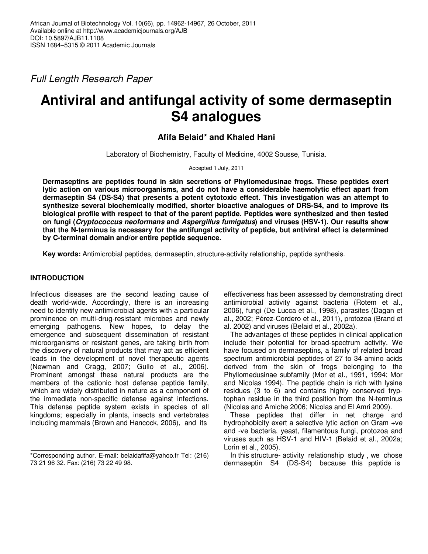Full Length Research Paper

# **Antiviral and antifungal activity of some dermaseptin S4 analogues**

# **Afifa Belaid\* and Khaled Hani**

Laboratory of Biochemistry, Faculty of Medicine, 4002 Sousse, Tunisia.

Accepted 1 July, 2011

**Dermaseptins are peptides found in skin secretions of Phyllomedusinae frogs. These peptides exert lytic action on various microorganisms, and do not have a considerable haemolytic effect apart from dermaseptin S4 (DS-S4) that presents a potent cytotoxic effect. This investigation was an attempt to synthesize several biochemically modified, shorter bioactive analogues of DRS-S4, and to improve its biological profile with respect to that of the parent peptide. Peptides were synthesized and then tested on fungi (Cryptococcus neoformans and Aspergillus fumigatus) and viruses (HSV-1). Our results show that the N-terminus is necessary for the antifungal activity of peptide, but antiviral effect is determined by C-terminal domain and/or entire peptide sequence.** 

**Key words:** Antimicrobial peptides, dermaseptin, structure-activity relationship, peptide synthesis.

# **INTRODUCTION**

Infectious diseases are the second leading cause of death world-wide. Accordingly, there is an increasing need to identify new antimicrobial agents with a particular prominence on multi-drug-resistant microbes and newly emerging pathogens. New hopes, to delay the emergence and subsequent dissemination of resistant microorganisms or resistant genes, are taking birth from the discovery of natural products that may act as efficient leads in the development of novel therapeutic agents (Newman and Cragg, 2007; Gullo et al., 2006). Prominent amongst these natural products are the members of the cationic host defense peptide family, which are widely distributed in nature as a component of the immediate non-specific defense against infections. This defense peptide system exists in species of all kingdoms; especially in plants, insects and vertebrates including mammals (Brown and Hancock, 2006), and its

effectiveness has been assessed by demonstrating direct antimicrobial activity against bacteria (Rotem et al., 2006), fungi (De Lucca et al., 1998), parasites (Dagan et al., 2002; Pérez-Cordero et al., 2011), protozoa (Brand et al. 2002) and viruses (Belaid et al., 2002a).

The advantages of these peptides in clinical application include their potential for broad-spectrum activity. We have focused on dermaseptins, a family of related broad spectrum antimicrobial peptides of 27 to 34 amino acids derived from the skin of frogs belonging to the Phyllomedusinae subfamily (Mor et al., 1991, 1994; Mor and Nicolas 1994). The peptide chain is rich with lysine residues (3 to 6) and contains highly conserved tryptophan residue in the third position from the N-terminus (Nicolas and Amiche 2006; Nicolas and El Amri 2009).

These peptides that differ in net charge and hydrophobicity exert a selective lytic action on Gram +ve and -ve bacteria, yeast, filamentous fungi, protozoa and viruses such as HSV-1 and HIV-1 (Belaid et al., 2002a; Lorin et al., 2005).

In this structure- activity relationship study , we chose dermaseptin S4 (DS-S4) because this peptide is

<sup>\*</sup>Corresponding author. E-mail: belaidafifa@yahoo.fr Tel: (216) 73 21 96 32. Fax: (216) 73 22 49 98.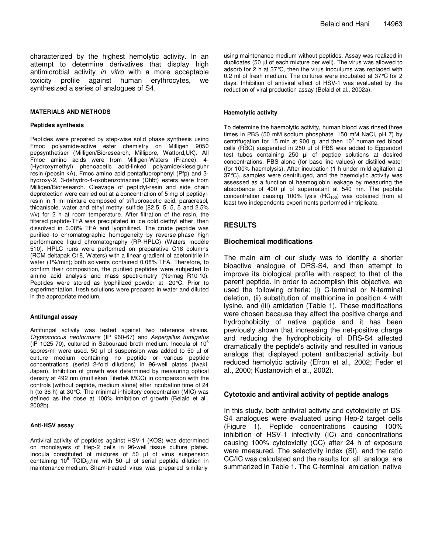characterized by the highest hemolytic activity. In an attempt to determine derivatives that display high antimicrobial activity in vitro with a more acceptable toxicity profile against human erythrocytes, we synthesized a series of analogues of S4.

#### **MATERIALS AND METHODS**

#### **Peptides synthesis**

Peptides were prepared by step-wise solid phase synthesis using Fmoc polyamide-active ester chemistry on Milligen 9050 pepsynthetiser (Milligen/Bioresearch, Millipore, Watford,UK). All Fmoc amino acids were from Milligen-Waters (France). 4- (Hydroxymethyl) phenoacetic acid-linked polyamide/kieselguhr resin (pepsin kA), Fmoc amino acid pentafluorophenyl (Pfp) and 3 hydroxy-2, 3-dehydro-4-oxobenzotriazine (Dhbt) esters were from Milligen/Bioresearch. Cleavage of peptidyl-resin and side chain deprotection were carried out at a concentration of 5 mg of peptidylresin in 1 ml mixture composed of trifluoroacetic acid, paracresol, thioanisole, water and ethyl methyl sulfide (82.5, 5, 5, 5 and 2.5% v/v) for 2 h at room temperature. After filtration of the resin, the filtered peptide-TFA was precipitated in ice cold diethyl ether, then dissolved in 0.08% TFA and lyophilized. The crude peptide was purified to chromatographic homogeneity by reverse-phase high performance liquid chromatography (RP-HPLC) (Waters modèle 510). HPLC runs were performed on preparative C18 columns (RCM deltapak C18, Waters) with a linear gradient of acetonitrile in water (1%/min); both solvents contained 0.08% TFA. Therefore, to confirm their composition, the purified peptides were subjected to amino acid analysis and mass spectrometry (Nermag R10-10). Peptides were stored as lyophilized powder at -20°C. Prior to experimentation, fresh solutions were prepared in water and diluted in the appropriate medium.

#### **Antifungal assay**

Antifungal activity was tested against two reference strains, Cryptococcus neoformans (IP 960-67) and Aspergillus fumigatus (IP 1025-70), cultured in Sabouraud broth medium. Inocula of  $10^6$ spores/ml were used. 50 µl of suspension was added to 50 µl of culture medium containing no peptide or various peptide concentrations (serial 2-fold dilutions) in 96-well plates (Iwaki, Japan). Inhibition of growth was determined by measuring optical density at 492 nm (multiskan Titertek MCC) in comparison with the controls (without peptide, medium alone) after incubation time of 24 h (to 36 h) at 30°C. The minimal inhibitory concentration (MIC) was defined as the dose at 100% inhibition of growth (Belaid et al., 2002b).

#### **Anti-HSV assay**

Antiviral activity of peptides against HSV-1 (KOS) was determined on monolayers of Hep-2 cells in 96-well tissue culture plates. Inocula constituted of mixtures of 50 µl of virus suspension containing 10<sup>6</sup> TCID<sub>50</sub>/ml with 50  $\mu$ l of serial peptide dilution in maintenance medium. Sham-treated virus was prepared similarly

using maintenance medium without peptides. Assay was realized in duplicates (50 µl of each mixture per well). The virus was allowed to adsorb for 2 h at 37°C, then the virus inoculums was replaced with 0.2 ml of fresh medium. The cultures were incubated at 37°C for 2 days. Inhibition of antiviral effect of HSV-1 was evaluated by the reduction of viral production assay (Belaid et al., 2002a).

#### **Haemolytic activity**

To determine the haemolytic activity, human blood was rinsed three times in PBS (50 mM sodium phosphate, 150 mM NaCl, pH 7) by centrifugation for 15 min at 900 g, and then  $10^8$  human red blood cells (RBC) suspended in 250 µl of PBS was added to Eppendorf test tubes containing 250 µl of peptide solutions at desired concentrations, PBS alone (for base-line values) or distilled water (for 100% haemolysis). After incubation (1 h under mild agitation at 37°C), samples were centrifuged, and the haemolytic activity was assessed as a function of haemoglobin leakage by measuring the absorbance of 400 µl of supernatant at 540 nm. The peptide concentration causing 100% lysis  $(HC_{100})$  was obtained from at least two independents experiments performed in triplicate.

## **RESULTS**

# **Biochemical modifications**

The main aim of our study was to identify a shorter bioactive analogue of DRS-S4, and then attempt to improve its biological profile with respect to that of the parent peptide. In order to accomplish this objective, we used the following criteria: (i) C-terminal or N-terminal deletion, (ii) substitution of methionine in position 4 with lysine, and (iii) amidation (Table 1). These modifications were chosen because they affect the positive charge and hydrophobicity of native peptide and it has been previously shown that increasing the net-positive charge and reducing the hydrophobicity of DRS-S4 affected dramatically the peptide's activity and resulted in various analogs that displayed potent antibacterial activity but reduced hemolytic activity (Efron et al., 2002; Feder et al., 2000; Kustanovich et al., 2002).

## **Cytotoxic and antiviral activity of peptide analogs**

In this study, both antiviral activity and cytotoxicity of DS-S4 analogues were evaluated using Hep-2 target cells (Figure 1). Peptide concentrations causing 100% inhibition of HSV-1 infectivity (IC) and concentrations causing 100% cytotoxicity (CC) after 24 h of exposure were measured. The selectivity index (SI), and the ratio CC/IC was calculated and the results for all analogs are summarized in Table 1. The C-terminal amidation native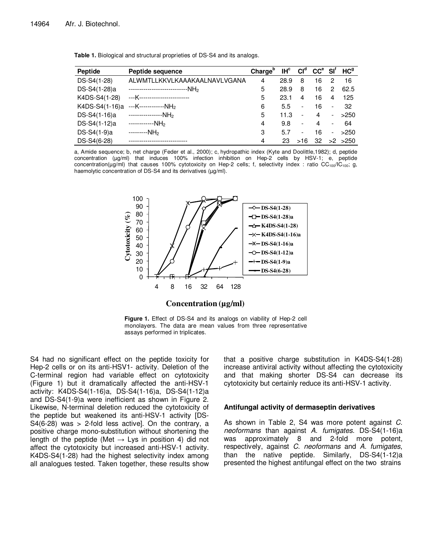| Peptide                                      | Peptide sequence                               | Chargeb | IH <sup>c</sup> | Cl <sup>d</sup>          | $CCe$ SI <sup>f</sup> |                          | HC <sup>9</sup> |
|----------------------------------------------|------------------------------------------------|---------|-----------------|--------------------------|-----------------------|--------------------------|-----------------|
| DS-S4(1-28)                                  | ALWMTLLKKVLKAAAKAALNAVLVGANA                   | 4       | 28.9            | 8                        | 16                    | 2                        | 16              |
| DS-S4(1-28)a                                 | ---------------------------NH <sub>2</sub>     | 5       | 28.9            | 8                        | 16                    | 2                        | 62.5            |
| K4DS-S4(1-28)                                | ---K------------------------                   | 5       | 23.1            | 4                        | 16                    | 4                        | 125             |
|                                              | K4DS-S4(1-16)a ---K------------NH <sub>2</sub> | 6       | 5.5             | -                        | 16                    | $\overline{\phantom{a}}$ | 32              |
| DS-S4(1-16)a ----------------NH <sub>2</sub> |                                                | 5       | 11.3            | $\overline{\phantom{a}}$ | 4                     | $\overline{\phantom{0}}$ | >250            |
| DS-S4(1-12)a ------------NH <sub>2</sub>     |                                                | 4       | 9.8             | $\overline{\phantom{a}}$ | 4                     | -                        | 64              |
| DS-S4(1-9)a                                  | ---------NH <sub>2</sub>                       | 3       | 5.7             | $\overline{\phantom{a}}$ | 16                    | $\overline{\phantom{0}}$ | >250            |
| DS-S4(6-28)                                  | ----------------------                         | 4       | 23              | >16                      | 32                    |                          | $>2$ $>250$     |

**Table 1.** Biological and structural proprieties of DS-S4 and its analogs.

a, Amide sequence; b, net charge (Feder et al., 2000); c, hydropathic index (Kyte and Doolittle,1982); d, peptide concentration (µg/ml) that induces 100% infection inhibition on Hep-2 cells by HSV-1; e, peptide concentration(µg/ml) that causes 100% cytotoxicity on Hep-2 cells; f, selectivity index : ratio CC<sub>100</sub>/IC<sub>100</sub>; g, haemolytic concentration of DS-S4 and its derivatives ( $\mu$ g/ml).



**Figure 1.** Effect of DS-S4 and its analogs on viability of Hep-2 cell monolayers. The data are mean values from three representative assays performed in triplicates.

S4 had no significant effect on the peptide toxicity for Hep-2 cells or on its anti-HSV1- activity. Deletion of the C-terminal region had variable effect on cytotoxicity (Figure 1) but it dramatically affected the anti-HSV-1 activity: K4DS-S4(1-16)a, DS-S4(1-16)a, DS-S4(1-12)a and DS-S4(1-9)a were inefficient as shown in Figure 2. Likewise, N-terminal deletion reduced the cytotoxicity of the peptide but weakened its anti-HSV-1 activity [DS- $S4(6-28)$  was > 2-fold less active]. On the contrary, a positive charge mono-substitution without shortening the length of the peptide (Met  $\rightarrow$  Lys in position 4) did not affect the cytotoxicity but increased anti-HSV-1 activity. K4DS-S4(1-28) had the highest selectivity index among all analogues tested. Taken together, these results show

that a positive charge substitution in K4DS-S4(1-28) increase antiviral activity without affecting the cytotoxicity and that making shorter DS-S4 can decrease its cytotoxicity but certainly reduce its anti-HSV-1 activity.

# **Antifungal activity of dermaseptin derivatives**

As shown in Table 2, S4 was more potent against C. neoformans than against A. fumigates. DS-S4(1-16)a was approximately 8 and 2-fold more potent, respectively, against C. neoformans and A. fumigates, than the native peptide. Similarly, DS-S4(1-12)a presented the highest antifungal effect on the two strains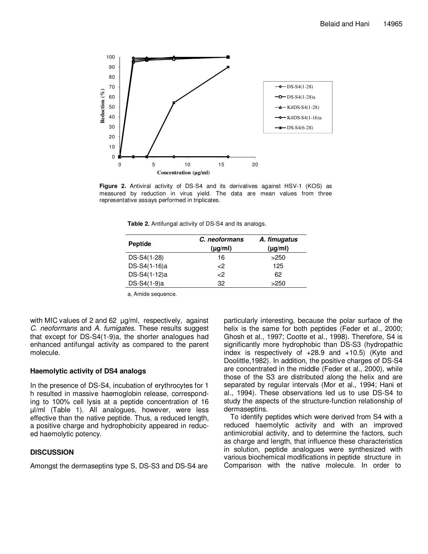

**Figure 2.** Antiviral activity of DS-S4 and its derivatives against HSV-1 (KOS) as measured by reduction in virus yield. The data are mean values from three representative assays performed in triplicates.

**Table 2.** Antifungal activity of DS-S4 and its analogs.

| Peptide      | C. neoformans<br>$(\mu g/ml)$ | A. fimugatus<br>$(\mu g/ml)$ |
|--------------|-------------------------------|------------------------------|
| DS-S4(1-28)  | 16                            | >250                         |
| DS-S4(1-16)a | $\epsilon$ 2                  | 125                          |
| DS-S4(1-12)a | $\epsilon$ 2                  | 62                           |
| DS-S4(1-9)a  | 32                            | >250                         |

a, Amide sequence.

with MIC values of 2 and 62  $\mu$ g/ml, respectively, against C. neoformans and A. fumigates. These results suggest that except for DS-S4(1-9)a, the shorter analogues had enhanced antifungal activity as compared to the parent molecule.

### **Haemolytic activity of DS4 analogs**

In the presence of DS-S4, incubation of erythrocytes for 1 h resulted in massive haemoglobin release, corresponding to 100% cell lysis at a peptide concentration of 16 µl/ml (Table 1). All analogues, however, were less effective than the native peptide. Thus, a reduced length, a positive charge and hydrophobicity appeared in reduced haemolytic potency.

# **DISCUSSION**

Amongst the dermaseptins type S, DS-S3 and DS-S4 are

particularly interesting, because the polar surface of the helix is the same for both peptides (Feder et al., 2000; Ghosh et al., 1997; Cootte et al., 1998). Therefore, S4 is significantly more hydrophobic than DS-S3 (hydropathic index is respectively of  $+28.9$  and  $+10.5$ ) (Kyte and Doolittle,1982). In addition, the positive charges of DS-S4 are concentrated in the middle (Feder et al., 2000), while those of the S3 are distributed along the helix and are separated by regular intervals (Mor et al., 1994; Hani et al., 1994). These observations led us to use DS-S4 to study the aspects of the structure-function relationship of dermaseptins.

To identify peptides which were derived from S4 with a reduced haemolytic activity and with an improved antimicrobial activity, and to determine the factors, such as charge and length, that influence these characteristics in solution, peptide analogues were synthesized with various biochemical modifications in peptide structure in Comparison with the native molecule. In order to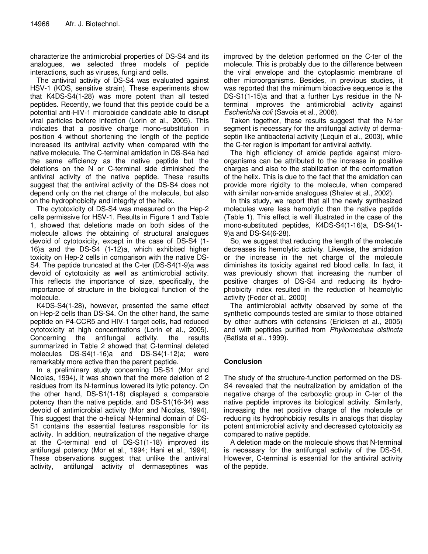characterize the antimicrobial properties of DS-S4 and its analogues, we selected three models of peptide interactions, such as viruses, fungi and cells.

The antiviral activity of DS-S4 was evaluated against HSV-1 (KOS, sensitive strain). These experiments show that K4DS-S4(1-28) was more potent than all tested peptides. Recently, we found that this peptide could be a potential anti-HIV-1 microbicide candidate able to disrupt viral particles before infection (Lorin et al., 2005). This indicates that a positive charge mono-substitution in position 4 without shortening the length of the peptide increased its antiviral activity when compared with the native molecule. The C-terminal amidation in DS-S4a had the same efficiency as the native peptide but the deletions on the N or C-terminal side diminished the antiviral activity of the native peptide. These results suggest that the antiviral activity of the DS-S4 does not depend only on the net charge of the molecule, but also on the hydrophobicity and integrity of the helix.

The cytotoxicity of DS-S4 was measured on the Hep-2 cells permissive for HSV-1. Results in Figure 1 and Table 1, showed that deletions made on both sides of the molecule allows the obtaining of structural analogues devoid of cytotoxicity, except in the case of DS-S4 (1- 16)a and the DS-S4 (1-12)a, which exhibited higher toxicity on Hep-2 cells in comparison with the native DS-S4. The peptide truncated at the C-ter (DS-S4(1-9)a was devoid of cytotoxicity as well as antimicrobial activity. This reflects the importance of size, specifically, the importance of structure in the biological function of the molecule.

K4DS-S4(1-28), however, presented the same effect on Hep-2 cells than DS-S4. On the other hand, the same peptide on P4-CCR5 and HIV-1 target cells, had reduced cytotoxicity at high concentrations (Lorin et al., 2005). Concerning the antifungal activity, the results summarized in Table 2 showed that C-terminal deleted molecules DS-S4(1-16)a and DS-S4(1-12)a; were remarkably more active than the parent peptide.

In a preliminary study concerning DS-S1 (Mor and Nicolas, 1994), it was shown that the mere deletion of 2 residues from its N-terminus lowered its lytic potency. On the other hand, DS-S1(1-18) displayed a comparable potency than the native peptide, and DS-S1(16-34) was devoid of antimicrobial activity (Mor and Nicolas, 1994). This suggest that the α-helical N-terminal domain of DS-S1 contains the essential features responsible for its activity. In addition, neutralization of the negative charge at the C-terminal end of DS-S1(1-18) improved its antifungal potency (Mor et al., 1994; Hani et al., 1994). These observations suggest that unlike the antiviral activity, antifungal activity of dermaseptines was

improved by the deletion performed on the C-ter of the molecule. This is probably due to the difference between the viral envelope and the cytoplasmic membrane of other microorganisms. Besides, in previous studies, it was reported that the minimum bioactive sequence is the DS-S1(1-15)a and that a further Lys residue in the Nterminal improves the antimicrobial activity against Escherichia coli (Savoia et al., 2008).

Taken together, these results suggest that the N-ter segment is necessary for the antifungal activity of dermaseptin like antibacterial activity (Lequin et al., 2003), while the C-ter region is important for antiviral activity.

The high efficiency of amide peptide against microorganisms can be attributed to the increase in positive charges and also to the stabilization of the conformation of the helix. This is due to the fact that the amidation can provide more rigidity to the molecule, when compared with similar non-amide analogues (Shalev et al., 2002).

In this study, we report that all the newly synthesized molecules were less hemolytic than the native peptide (Table 1). This effect is well illustrated in the case of the mono-substituted peptides, K4DS-S4(1-16)a, DS-S4(1- 9)a and DS-S4(6-28).

So, we suggest that reducing the length of the molecule decreases its hemolytic activity. Likewise, the amidation or the increase in the net charge of the molecule diminishes its toxicity against red blood cells. In fact, it was previously shown that increasing the number of positive charges of DS-S4 and reducing its hydrophobicity index resulted in the reduction of heamolytic activity (Feder et al., 2000)

The antimicrobial activity observed by some of the synthetic compounds tested are similar to those obtained by other authors with defensins (Ericksen et al., 2005) and with peptides purified from Phyllomedusa distincta (Batista et al., 1999).

# **Conclusion**

The study of the structure-function performed on the DS-S4 revealed that the neutralization by amidation of the negative charge of the carboxylic group in C-ter of the native peptide improves its biological activity. Similarly, increasing the net positive charge of the molecule or reducing its hydrophobiciy results in analogs that display potent antimicrobial activity and decreased cytotoxicity as compared to native peptide.

A deletion made on the molecule shows that N-terminal is necessary for the antifungal activity of the DS-S4. However, C-terminal is essential for the antiviral activity of the peptide.